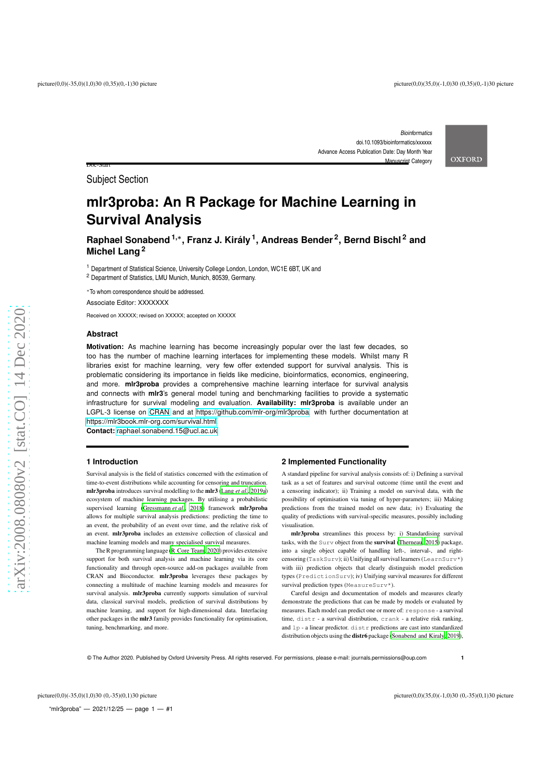Doc-Start

*Bioinformatics* doi.10.1093/bioinformatics/xxxxxx Advance Access Publication Date: Day Month Year Manuscript Category

**OXFORD** 

Subject Section

# **mlr3proba: An R Package for Machine Learning in Survival Analysis**

**Raphael Sonabend1,** ∗ **, Franz J. Király 1 , Andreas Bender 2 , Bernd Bischl <sup>2</sup> and Michel Lang 2**

<sup>1</sup> Department of Statistical Science, University College London, London, WC1E 6BT, UK and <sup>2</sup> Department of Statistics, LMU Munich, Munich, 80539, Germany.

<sup>∗</sup>To whom correspondence should be addressed.

Associate Editor: XXXXXXX

Received on XXXXX; revised on XXXXX; accepted on XXXXX

# **Abstract**

**Motivation:** As machine learning has become increasingly popular over the last few decades, so too has the number of machine learning interfaces for implementing these models. Whilst many R libraries exist for machine learning, very few offer extended support for survival analysis. This is problematic considering its importance in fields like medicine, bioinformatics, economics, engineering, and more. **mlr3proba** provides a comprehensive machine learning interface for survival analysis and connects with **mlr3**'s general model tuning and benchmarking facilities to provide a systematic infrastructure for survival modeling and evaluation. **Availability: mlr3proba** is available under an LGPL-3 license on [CRAN](https://cran.r-project.org/) and at [https://github.com/mlr-org/mlr3proba,](https://github.com/mlr-org/mlr3proba) with further documentation at [https://mlr3book.mlr-org.com/survival.html.](https://mlr3book.mlr-org.com/survival.html)

**Contact:** <raphael.sonabend.15@ucl.ac.uk>

# **1 Introduction**

Survival analysis is the field of statistics concerned with the estimation of time-to-event distributions while accounting for censoring and truncation. mlr3proba introduces survival modelling to the mlr3 [\(Lang](#page-2-0) *et al.*, [2019a](#page-2-0)) ecosystem of machine learning packages. By utilising a probabilistic supervised learning [\(Gressmann](#page-2-1) et al., [2018](#page-2-1)) framework mlr3proba allows for multiple survival analysis predictions: predicting the time to an event, the probability of an event over time, and the relative risk of an event. mlr3proba includes an extensive collection of classical and machine learning models and many specialised survival measures.

The R programming language [\(R Core Team, 2020](#page-2-2)) provides extensive support for both survival analysis and machine learning via its core functionality and through open-source add-on packages available from CRAN and Bioconductor. mlr3proba leverages these packages by connecting a multitude of machine learning models and measures for survival analysis. mlr3proba currently supports simulation of survival data, classical survival models, prediction of survival distributions by machine learning, and support for high-dimensional data. Interfacing other packages in the mlr3 family provides functionality for optimisation, tuning, benchmarking, and more.

#### **2 Implemented Functionality**

A standard pipeline for survival analysis consists of: i) Defining a survival task as a set of features and survival outcome (time until the event and a censoring indicator); ii) Training a model on survival data, with the possibility of optimisation via tuning of hyper-parameters; iii) Making predictions from the trained model on new data; iv) Evaluating the quality of predictions with survival-specific measures, possibly including visualisation.

mlr3proba streamlines this process by: i) Standardising survival tasks, with the Surv object from the survival [\(Therneau, 2015\)](#page-2-3) package, into a single object capable of handling left-, interval-, and rightcensoring (TaskSurv); ii) Unifying all survival learners (LearnSurv\*) with iii) prediction objects that clearly distinguish model prediction types (PredictionSurv); iv) Unifying survival measures for different survival prediction types (MeasureSurv\*).

Careful design and documentation of models and measures clearly demonstrate the predictions that can be made by models or evaluated by measures. Each model can predict one or more of: response - a survival time, distr - a survival distribution, crank - a relative risk ranking, and lp - a linear predictor. distr predictions are cast into standardized distribution objects using the **distr6** package [\(Sonabend and Kiraly](#page-2-4), [2019\)](#page-2-4),

© The Author 2020. Published by Oxford University Press. All rights reserved. For permissions, please e-mail: journals.permissions@oup.com

**1**

"mlr3proba" — 2021/12/25 — page 1 — #1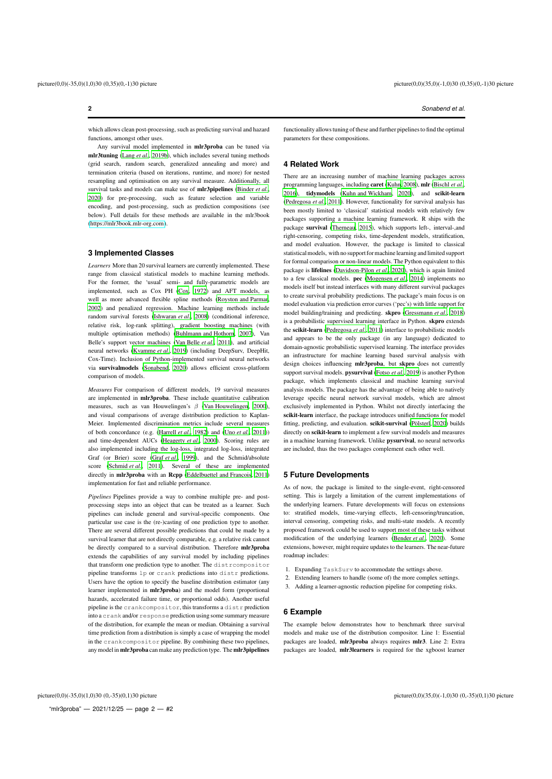which allows clean post-processing, such as predicting survival and hazard functions, amongst other uses.

Any survival model implemented in mlr3proba can be tuned via mlr3tuning [\(Lang](#page-2-5) *et al.*, [2019b](#page-2-5)), which includes several tuning methods (grid search, random search, generalized annealing and more) and termination criteria (based on iterations, runtime, and more) for nested resampling and optimisation on any survival measure. Additionally, all survival tasks and models can make use of mlr3pipelines [\(Binder](#page-2-6) *et al.*, [2020](#page-2-6)) for pre-processing, such as feature selection and variable encoding, and post-processing, such as prediction compositions (see below). Full details for these methods are available in the mlr3book [\(https://mlr3book.mlr-org.com\)](https://mlr3book.mlr-org.com).

#### **3 Implemented Classes**

*Learners* More than 20 survival learners are currently implemented. These range from classical statistical models to machine learning methods. For the former, the 'usual' semi- and fully-parametric models are implemented, such as Cox PH [\(Cox, 1972](#page-2-7)) and AFT models, as well as more advanced flexible spline methods [\(Royston and Parmar](#page-2-8), [2002](#page-2-8)) and penalized regression. Machine learning methods include random survival forests [\(Ishwaran](#page-2-9) *et al.*, [2008](#page-2-9)) (conditional inference, relative risk, log-rank splitting), gradient boosting machines (with multiple optimisation methods) [\(Buhlmann and Hothorn](#page-2-10), [2007\)](#page-2-10), Van Belle's support vector machines [\(Van Belle](#page-2-11) *et al.*, [2011](#page-2-11)), and artificial neural networks [\(Kvamme](#page-2-12) *et al.*, [2019](#page-2-12)) (including DeepSurv, DeepHit, Cox-Time). Inclusion of Python-implemented survival neural networks via survivalmodels [\(Sonabend](#page-2-13), [2020\)](#page-2-13) allows efficient cross-platform comparison of models.

*Measures* For comparison of different models, 19 survival measures are implemented in mlr3proba. These include quantitative calibration measures, such as van Houwelingen's  $\beta$  [\(Van Houwelingen](#page-2-14), [2000\)](#page-2-14), and visual comparisons of average distribution prediction to Kaplan-Meier. Implemented discrimination metrics include several measures of both concordance (e.g. [\(Harrell](#page-2-15) *et al.*, [1982](#page-2-15)) and (Uno *[et al.](#page-2-16)*, [2011](#page-2-16))) and time-dependent AUCs [\(Heagerty](#page-2-17) *et al.*, [2000](#page-2-17)). Scoring rules are also implemented including the log-loss, integrated log-loss, integrated Graf (or Brier) score (Graf *[et al.](#page-2-18)*, [1999](#page-2-18)), and the Schmid/absolute score [\(Schmid](#page-2-19) *et al.*, [2011\)](#page-2-19). Several of these are implemented directly in mlr3proba with an Rcpp [\(Eddelbuettel and Francois](#page-2-20), [2011\)](#page-2-20) implementation for fast and reliable performance.

*Pipelines* Pipelines provide a way to combine multiple pre- and postprocessing steps into an object that can be treated as a learner. Such pipelines can include general and survival-specific components. One particular use case is the (re-)casting of one prediction type to another. There are several different possible predictions that could be made by a survival learner that are not directly comparable, e.g. a relative risk cannot be directly compared to a survival distribution. Therefore mlr3proba extends the capabilities of any survival model by including pipelines that transform one prediction type to another. The distrcompositor pipeline transforms lp or crank predictions into distr predictions. Users have the option to specify the baseline distribution estimator (any learner implemented in mlr3proba) and the model form (proportional hazards, accelerated failure time, or proportional odds). Another useful pipeline is the crankcompositor, this transforms a distr prediction into a crank and/or response prediction using some summary measure of the distribution, for example the mean or median. Obtaining a survival time prediction from a distribution is simply a case of wrapping the model in the crankcompositor pipeline. By combining these two pipelines, any model in mlr3proba can make any prediction type. The mlr3pipelines

**2** *Sonabend et al.*

functionality allows tuning of these and further pipelinesto find the optimal parameters for these compositions.

# **4 Related Work**

There are an increasing number of machine learning packages across programming languages, including caret [\(Kuhn](#page-2-21), [2008](#page-2-21)), mlr [\(Bischl](#page-2-22) *et al.*, [2016](#page-2-22)), tidymodels [\(Kuhn and Wickham](#page-2-23), [2020\)](#page-2-23), and scikit-learn [\(Pedregosa](#page-2-24) *et al.*, [2011\)](#page-2-24). However, functionality for survival analysis has been mostly limited to 'classical' statistical models with relatively few packages supporting a machine learning framework. R ships with the package survival [\(Therneau](#page-2-3), [2015\)](#page-2-3), which supports left-, interval-,and right-censoring, competing risks, time-dependent models, stratification, and model evaluation. However, the package is limited to classical statisticalmodels, with no support for machine learning and limited support for formal comparison or non-linear models. The Python equivalent to this package is lifelines [\(Davidson-Pilon](#page-2-25) *et al.*, [2020](#page-2-25)), which is again limited to a few classical models. pec [\(Mogensen](#page-2-26) *et al.*, [2014](#page-2-26)) implements no models itself but instead interfaces with many different survival packages to create survival probability predictions. The package's main focus is on model evaluation via prediction error curves ('pec's) with little support for model building/training and predicting. skpro [\(Gressmann](#page-2-1) *et al.*, [2018\)](#page-2-1) is a probabilistic supervised learning interface in Python. skpro extends the scikit-learn [\(Pedregosa](#page-2-24) *et al.*, [2011\)](#page-2-24) interface to probabilistic models and appears to be the only package (in any language) dedicated to domain-agnostic probabilistic supervised learning. The interface provides an infrastructure for machine learning based survival analysis with design choices influencing mlr3proba, but skpro does not currently support survival models. pysurvival [\(Fotso](#page-2-27) *et al.*, [2019](#page-2-27)) is another Python package, which implements classical and machine learning survival analysis models. The package has the advantage of being able to natively leverage specific neural network survival models, which are almost exclusively implemented in Python. Whilst not directly interfacing the scikit-learn interface, the package introduces unified functions for model fitting, predicting, and evaluation. scikit-survival [\(Pölsterl](#page-2-28), [2020](#page-2-28)) builds directly on scikit-learn to implement a few survival models and measures in a machine learning framework. Unlike pysurvival, no neural networks are included, thus the two packages complement each other well.

### **5 Future Developments**

As of now, the package is limited to the single-event, right-censored setting. This is largely a limitation of the current implementations of the underlying learners. Future developments will focus on extensions to: stratified models, time-varying effects, left-censoring/truncation, interval censoring, competing risks, and multi-state models. A recently proposed framework could be used to support most of these tasks without modification of the underlying learners [\(Bender](#page-2-29) *et al.*, [2020](#page-2-29)). Some extensions, however, might require updates to the learners. The near-future roadmap includes:

- 1. Expanding TaskSurv to accommodate the settings above.
- 2. Extending learners to handle (some of) the more complex settings.
- 3. Adding a learner-agnostic reduction pipeline for competing risks.

# **6 Example**

The example below demonstrates how to benchmark three survival models and make use of the distribution compositor. Line 1: Essential packages are loaded, mlr3proba always requires mlr3. Line 2: Extra packages are loaded, mlr3learners is required for the xgboost learner